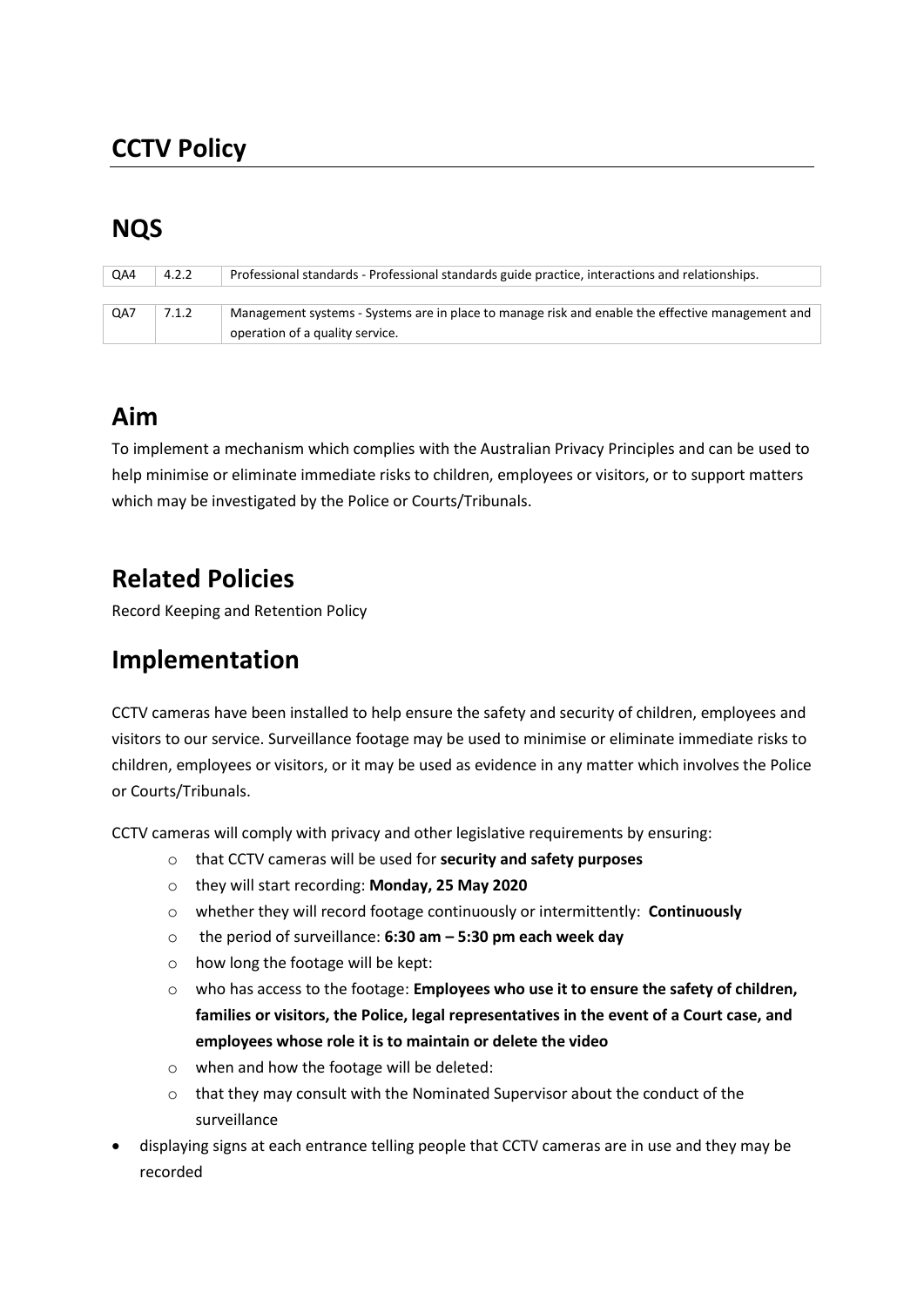## **CCTV Policy**

# **NQS**

| QA4 | 4.2.2 | Professional standards - Professional standards guide practice, interactions and relationships.  |
|-----|-------|--------------------------------------------------------------------------------------------------|
|     |       |                                                                                                  |
| QA7 | 7.1.2 | Management systems - Systems are in place to manage risk and enable the effective management and |
|     |       | operation of a quality service.                                                                  |

### **Aim**

To implement a mechanism which complies with the Australian Privacy Principles and can be used to help minimise or eliminate immediate risks to children, employees or visitors, or to support matters which may be investigated by the Police or Courts/Tribunals.

### **Related Policies**

Record Keeping and Retention Policy

#### **Implementation**

CCTV cameras have been installed to help ensure the safety and security of children, employees and visitors to our service. Surveillance footage may be used to minimise or eliminate immediate risks to children, employees or visitors, or it may be used as evidence in any matter which involves the Police or Courts/Tribunals.

CCTV cameras will comply with privacy and other legislative requirements by ensuring:

- o that CCTV cameras will be used for **security and safety purposes**
- o they will start recording: **Monday, 25 May 2020**
- o whether they will record footage continuously or intermittently: **Continuously**
- o the period of surveillance: **6:30 am – 5:30 pm each week day**
- o how long the footage will be kept:
- o who has access to the footage: **Employees who use it to ensure the safety of children, families or visitors, the Police, legal representatives in the event of a Court case, and employees whose role it is to maintain or delete the video**
- o when and how the footage will be deleted:
- o that they may consult with the Nominated Supervisor about the conduct of the surveillance
- displaying signs at each entrance telling people that CCTV cameras are in use and they may be recorded